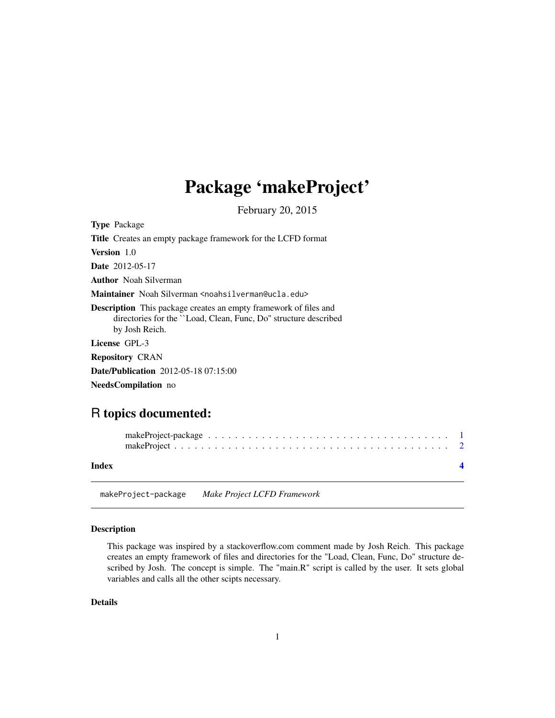# <span id="page-0-0"></span>Package 'makeProject'

February 20, 2015

| <b>Type Package</b>                                                                                                                                            |
|----------------------------------------------------------------------------------------------------------------------------------------------------------------|
| <b>Title</b> Creates an empty package framework for the LCFD format                                                                                            |
| <b>Version</b> 1.0                                                                                                                                             |
| <b>Date</b> 2012-05-17                                                                                                                                         |
| <b>Author</b> Noah Silverman                                                                                                                                   |
| Maintainer Noah Silverman <noahsilverman@ucla.edu></noahsilverman@ucla.edu>                                                                                    |
| <b>Description</b> This package creates an empty framework of files and<br>directories for the ``Load, Clean, Func, Do'' structure described<br>by Josh Reich. |
| License GPL-3                                                                                                                                                  |
| <b>Repository CRAN</b>                                                                                                                                         |
| <b>Date/Publication</b> 2012-05-18 07:15:00                                                                                                                    |
| <b>NeedsCompilation</b> no                                                                                                                                     |

# R topics documented:

| Index |  |
|-------|--|

makeProject-package *Make Project LCFD Framework*

#### Description

This package was inspired by a stackoverflow.com comment made by Josh Reich. This package creates an empty framework of files and directories for the "Load, Clean, Func, Do" structure described by Josh. The concept is simple. The "main.R" script is called by the user. It sets global variables and calls all the other scipts necessary.

#### Details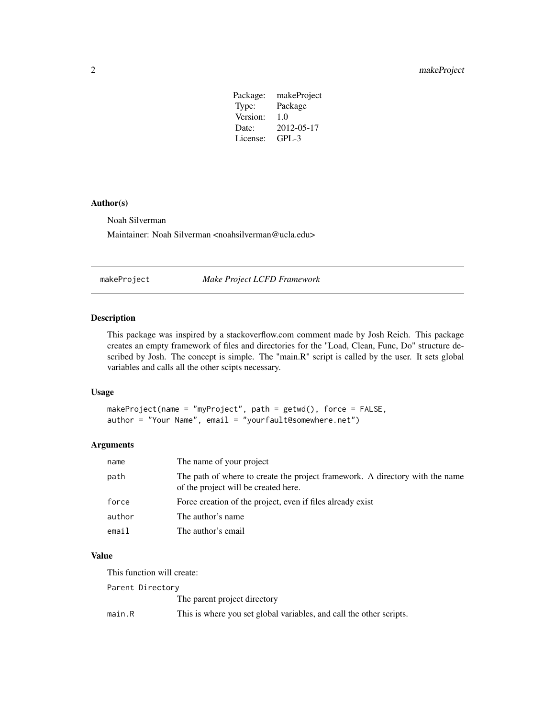| makeProject |
|-------------|
| Package     |
| 1.0         |
| 2012-05-17  |
| $GPI - 3$   |
|             |

#### <span id="page-1-0"></span>Author(s)

Noah Silverman

Maintainer: Noah Silverman <noahsilverman@ucla.edu>

makeProject *Make Project LCFD Framework*

#### Description

This package was inspired by a stackoverflow.com comment made by Josh Reich. This package creates an empty framework of files and directories for the "Load, Clean, Func, Do" structure described by Josh. The concept is simple. The "main.R" script is called by the user. It sets global variables and calls all the other scipts necessary.

#### Usage

```
makeProject(name = "myProject", path = getwd(), force = FALSE,
author = "Your Name", email = "yourfault@somewhere.net")
```
#### Arguments

| name   | The name of your project                                                                                             |
|--------|----------------------------------------------------------------------------------------------------------------------|
| path   | The path of where to create the project framework. A directory with the name<br>of the project will be created here. |
| force  | Force creation of the project, even if files already exist                                                           |
| author | The author's name.                                                                                                   |
| email  | The author's email                                                                                                   |

### Value

This function will create:

Parent Directory

The parent project directory

main.R This is where you set global variables, and call the other scripts.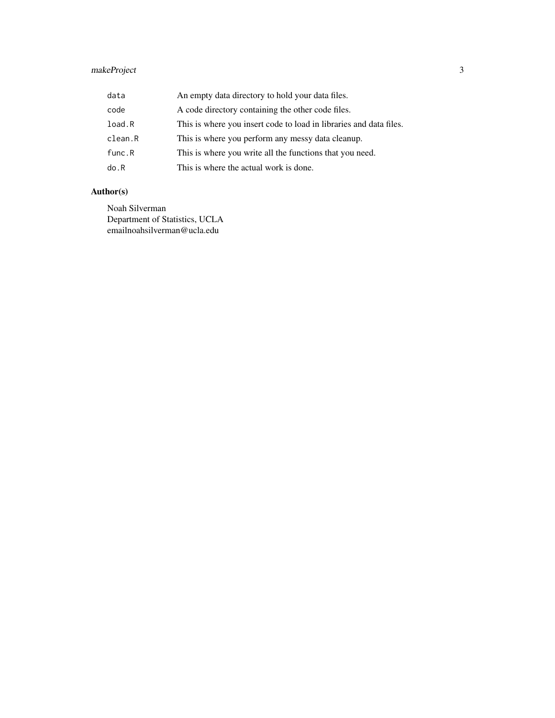### makeProject 3

| data    | An empty data directory to hold your data files.                   |
|---------|--------------------------------------------------------------------|
| code    | A code directory containing the other code files.                  |
| load.R  | This is where you insert code to load in libraries and data files. |
| clean.R | This is where you perform any messy data cleanup.                  |
| func.R  | This is where you write all the functions that you need.           |
| do.R    | This is where the actual work is done.                             |

## Author(s)

Noah Silverman Department of Statistics, UCLA emailnoahsilverman@ucla.edu